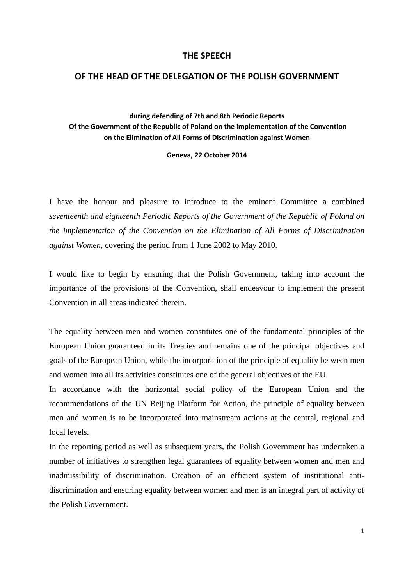## **THE SPEECH**

## **OF THE HEAD OF THE DELEGATION OF THE POLISH GOVERNMENT**

**during defending of 7th and 8th Periodic Reports Of the Government of the Republic of Poland on the implementation of the Convention on the Elimination of All Forms of Discrimination against Women**

**Geneva, 22 October 2014**

I have the honour and pleasure to introduce to the eminent Committee a combined *seventeenth and eighteenth Periodic Reports of the Government of the Republic of Poland on the implementation of the Convention on the Elimination of All Forms of Discrimination against Women*, covering the period from 1 June 2002 to May 2010.

I would like to begin by ensuring that the Polish Government, taking into account the importance of the provisions of the Convention, shall endeavour to implement the present Convention in all areas indicated therein.

The equality between men and women constitutes one of the fundamental principles of the European Union guaranteed in its Treaties and remains one of the principal objectives and goals of the European Union, while the incorporation of the principle of equality between men and women into all its activities constitutes one of the general objectives of the EU.

In accordance with the horizontal social policy of the European Union and the recommendations of the UN Beijing Platform for Action, the principle of equality between men and women is to be incorporated into mainstream actions at the central, regional and local levels.

In the reporting period as well as subsequent years, the Polish Government has undertaken a number of initiatives to strengthen legal guarantees of equality between women and men and inadmissibility of discrimination. Creation of an efficient system of institutional antidiscrimination and ensuring equality between women and men is an integral part of activity of the Polish Government.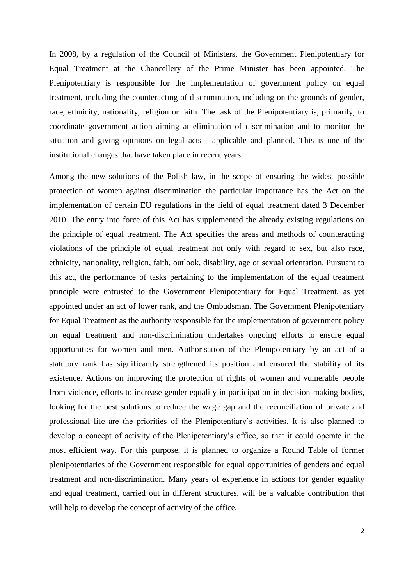In 2008, by a regulation of the Council of Ministers, the Government Plenipotentiary for Equal Treatment at the Chancellery of the Prime Minister has been appointed. The Plenipotentiary is responsible for the implementation of government policy on equal treatment, including the counteracting of discrimination, including on the grounds of gender, race, ethnicity, nationality, religion or faith. The task of the Plenipotentiary is, primarily, to coordinate government action aiming at elimination of discrimination and to monitor the situation and giving opinions on legal acts - applicable and planned. This is one of the institutional changes that have taken place in recent years.

Among the new solutions of the Polish law, in the scope of ensuring the widest possible protection of women against discrimination the particular importance has the Act on the implementation of certain EU regulations in the field of equal treatment dated 3 December 2010. The entry into force of this Act has supplemented the already existing regulations on the principle of equal treatment. The Act specifies the areas and methods of counteracting violations of the principle of equal treatment not only with regard to sex, but also race, ethnicity, nationality, religion, faith, outlook, disability, age or sexual orientation. Pursuant to this act, the performance of tasks pertaining to the implementation of the equal treatment principle were entrusted to the Government Plenipotentiary for Equal Treatment, as yet appointed under an act of lower rank, and the Ombudsman. The Government Plenipotentiary for Equal Treatment as the authority responsible for the implementation of government policy on equal treatment and non-discrimination undertakes ongoing efforts to ensure equal opportunities for women and men. Authorisation of the Plenipotentiary by an act of a statutory rank has significantly strengthened its position and ensured the stability of its existence. Actions on improving the protection of rights of women and vulnerable people from violence, efforts to increase gender equality in participation in decision-making bodies, looking for the best solutions to reduce the wage gap and the reconciliation of private and professional life are the priorities of the Plenipotentiary's activities. It is also planned to develop a concept of activity of the Plenipotentiary's office, so that it could operate in the most efficient way. For this purpose, it is planned to organize a Round Table of former plenipotentiaries of the Government responsible for equal opportunities of genders and equal treatment and non-discrimination. Many years of experience in actions for gender equality and equal treatment, carried out in different structures, will be a valuable contribution that will help to develop the concept of activity of the office.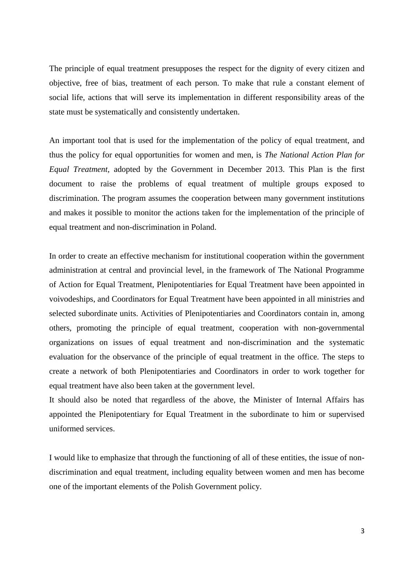The principle of equal treatment presupposes the respect for the dignity of every citizen and objective, free of bias, treatment of each person. To make that rule a constant element of social life, actions that will serve its implementation in different responsibility areas of the state must be systematically and consistently undertaken.

An important tool that is used for the implementation of the policy of equal treatment, and thus the policy for equal opportunities for women and men, is *The National Action Plan for Equal Treatment*, adopted by the Government in December 2013. This Plan is the first document to raise the problems of equal treatment of multiple groups exposed to discrimination. The program assumes the cooperation between many government institutions and makes it possible to monitor the actions taken for the implementation of the principle of equal treatment and non-discrimination in Poland.

In order to create an effective mechanism for institutional cooperation within the government administration at central and provincial level, in the framework of The National Programme of Action for Equal Treatment, Plenipotentiaries for Equal Treatment have been appointed in voivodeships, and Coordinators for Equal Treatment have been appointed in all ministries and selected subordinate units. Activities of Plenipotentiaries and Coordinators contain in, among others, promoting the principle of equal treatment, cooperation with non-governmental organizations on issues of equal treatment and non-discrimination and the systematic evaluation for the observance of the principle of equal treatment in the office. The steps to create a network of both Plenipotentiaries and Coordinators in order to work together for equal treatment have also been taken at the government level.

It should also be noted that regardless of the above, the Minister of Internal Affairs has appointed the Plenipotentiary for Equal Treatment in the subordinate to him or supervised uniformed services.

I would like to emphasize that through the functioning of all of these entities, the issue of nondiscrimination and equal treatment, including equality between women and men has become one of the important elements of the Polish Government policy.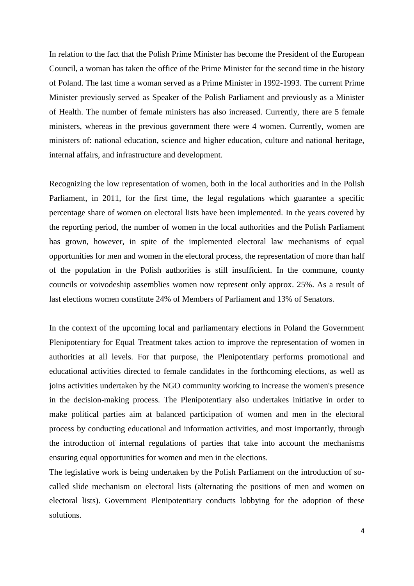In relation to the fact that the Polish Prime Minister has become the President of the European Council, a woman has taken the office of the Prime Minister for the second time in the history of Poland. The last time a woman served as a Prime Minister in 1992-1993. The current Prime Minister previously served as Speaker of the Polish Parliament and previously as a Minister of Health. The number of female ministers has also increased. Currently, there are 5 female ministers, whereas in the previous government there were 4 women. Currently, women are ministers of: national education, science and higher education, culture and national heritage, internal affairs, and infrastructure and development.

Recognizing the low representation of women, both in the local authorities and in the Polish Parliament, in 2011, for the first time, the legal regulations which guarantee a specific percentage share of women on electoral lists have been implemented. In the years covered by the reporting period, the number of women in the local authorities and the Polish Parliament has grown, however, in spite of the implemented electoral law mechanisms of equal opportunities for men and women in the electoral process, the representation of more than half of the population in the Polish authorities is still insufficient. In the commune, county councils or voivodeship assemblies women now represent only approx. 25%. As a result of last elections women constitute 24% of Members of Parliament and 13% of Senators.

In the context of the upcoming local and parliamentary elections in Poland the Government Plenipotentiary for Equal Treatment takes action to improve the representation of women in authorities at all levels. For that purpose, the Plenipotentiary performs promotional and educational activities directed to female candidates in the forthcoming elections, as well as joins activities undertaken by the NGO community working to increase the women's presence in the decision-making process. The Plenipotentiary also undertakes initiative in order to make political parties aim at balanced participation of women and men in the electoral process by conducting educational and information activities, and most importantly, through the introduction of internal regulations of parties that take into account the mechanisms ensuring equal opportunities for women and men in the elections.

The legislative work is being undertaken by the Polish Parliament on the introduction of socalled slide mechanism on electoral lists (alternating the positions of men and women on electoral lists). Government Plenipotentiary conducts lobbying for the adoption of these solutions.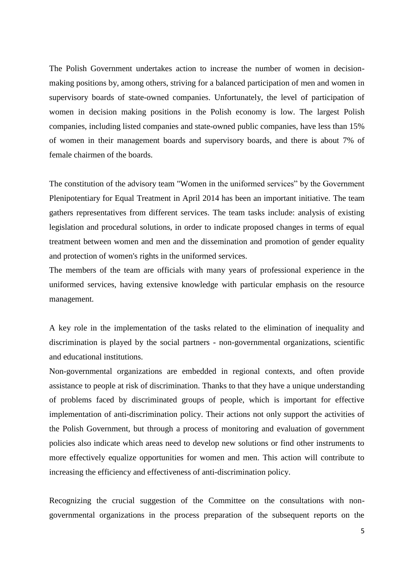The Polish Government undertakes action to increase the number of women in decisionmaking positions by, among others, striving for a balanced participation of men and women in supervisory boards of state-owned companies. Unfortunately, the level of participation of women in decision making positions in the Polish economy is low. The largest Polish companies, including listed companies and state-owned public companies, have less than 15% of women in their management boards and supervisory boards, and there is about 7% of female chairmen of the boards.

The constitution of the advisory team "Women in the uniformed services" by the Government Plenipotentiary for Equal Treatment in April 2014 has been an important initiative. The team gathers representatives from different services. The team tasks include: analysis of existing legislation and procedural solutions, in order to indicate proposed changes in terms of equal treatment between women and men and the dissemination and promotion of gender equality and protection of women's rights in the uniformed services.

The members of the team are officials with many years of professional experience in the uniformed services, having extensive knowledge with particular emphasis on the resource management.

A key role in the implementation of the tasks related to the elimination of inequality and discrimination is played by the social partners - non-governmental organizations, scientific and educational institutions.

Non-governmental organizations are embedded in regional contexts, and often provide assistance to people at risk of discrimination. Thanks to that they have a unique understanding of problems faced by discriminated groups of people, which is important for effective implementation of anti-discrimination policy. Their actions not only support the activities of the Polish Government, but through a process of monitoring and evaluation of government policies also indicate which areas need to develop new solutions or find other instruments to more effectively equalize opportunities for women and men. This action will contribute to increasing the efficiency and effectiveness of anti-discrimination policy.

Recognizing the crucial suggestion of the Committee on the consultations with nongovernmental organizations in the process preparation of the subsequent reports on the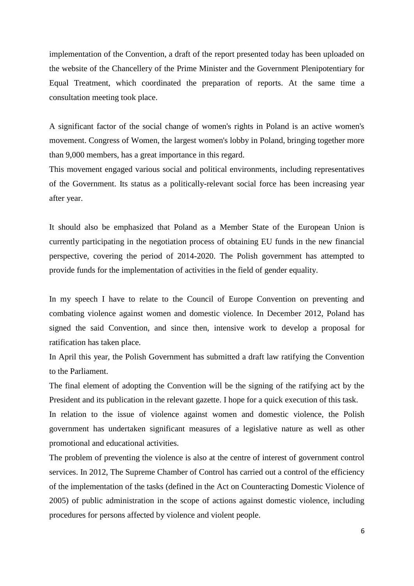implementation of the Convention, a draft of the report presented today has been uploaded on the website of the Chancellery of the Prime Minister and the Government Plenipotentiary for Equal Treatment, which coordinated the preparation of reports. At the same time a consultation meeting took place.

A significant factor of the social change of women's rights in Poland is an active women's movement. Congress of Women, the largest women's lobby in Poland, bringing together more than 9,000 members, has a great importance in this regard.

This movement engaged various social and political environments, including representatives of the Government. Its status as a politically-relevant social force has been increasing year after year.

It should also be emphasized that Poland as a Member State of the European Union is currently participating in the negotiation process of obtaining EU funds in the new financial perspective, covering the period of 2014-2020. The Polish government has attempted to provide funds for the implementation of activities in the field of gender equality.

In my speech I have to relate to the Council of Europe Convention on preventing and combating violence against women and domestic violence. In December 2012, Poland has signed the said Convention, and since then, intensive work to develop a proposal for ratification has taken place.

In April this year, the Polish Government has submitted a draft law ratifying the Convention to the Parliament.

The final element of adopting the Convention will be the signing of the ratifying act by the President and its publication in the relevant gazette. I hope for a quick execution of this task.

In relation to the issue of violence against women and domestic violence, the Polish government has undertaken significant measures of a legislative nature as well as other promotional and educational activities.

The problem of preventing the violence is also at the centre of interest of government control services. In 2012, The Supreme Chamber of Control has carried out a control of the efficiency of the implementation of the tasks (defined in the Act on Counteracting Domestic Violence of 2005) of public administration in the scope of actions against domestic violence, including procedures for persons affected by violence and violent people.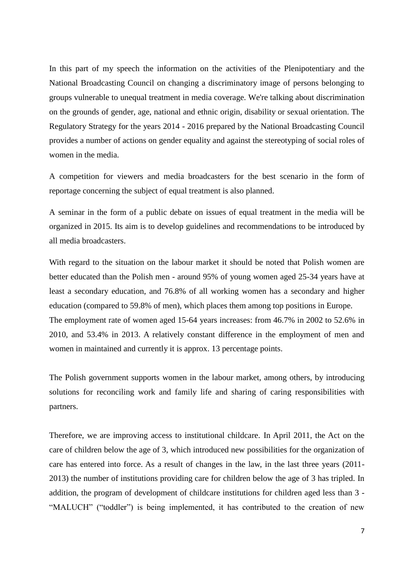In this part of my speech the information on the activities of the Plenipotentiary and the National Broadcasting Council on changing a discriminatory image of persons belonging to groups vulnerable to unequal treatment in media coverage. We're talking about discrimination on the grounds of gender, age, national and ethnic origin, disability or sexual orientation. The Regulatory Strategy for the years 2014 - 2016 prepared by the National Broadcasting Council provides a number of actions on gender equality and against the stereotyping of social roles of women in the media.

A competition for viewers and media broadcasters for the best scenario in the form of reportage concerning the subject of equal treatment is also planned.

A seminar in the form of a public debate on issues of equal treatment in the media will be organized in 2015. Its aim is to develop guidelines and recommendations to be introduced by all media broadcasters.

With regard to the situation on the labour market it should be noted that Polish women are better educated than the Polish men - around 95% of young women aged 25-34 years have at least a secondary education, and 76.8% of all working women has a secondary and higher education (compared to 59.8% of men), which places them among top positions in Europe. The employment rate of women aged 15-64 years increases: from 46.7% in 2002 to 52.6% in 2010, and 53.4% in 2013. A relatively constant difference in the employment of men and women in maintained and currently it is approx. 13 percentage points.

The Polish government supports women in the labour market, among others, by introducing solutions for reconciling work and family life and sharing of caring responsibilities with partners.

Therefore, we are improving access to institutional childcare. In April 2011, the Act on the care of children below the age of 3, which introduced new possibilities for the organization of care has entered into force. As a result of changes in the law, in the last three years (2011- 2013) the number of institutions providing care for children below the age of 3 has tripled. In addition, the program of development of childcare institutions for children aged less than 3 - "MALUCH" ("toddler") is being implemented, it has contributed to the creation of new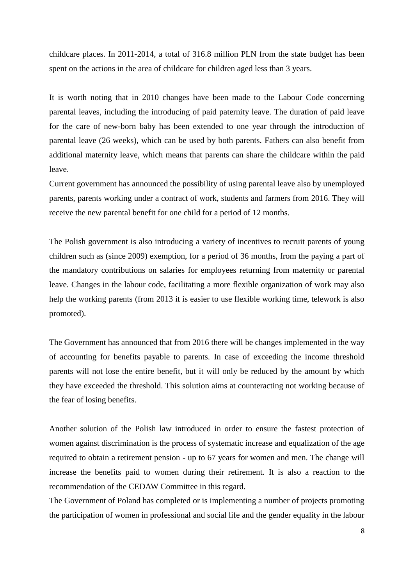childcare places. In 2011-2014, a total of 316.8 million PLN from the state budget has been spent on the actions in the area of childcare for children aged less than 3 years.

It is worth noting that in 2010 changes have been made to the Labour Code concerning parental leaves, including the introducing of paid paternity leave. The duration of paid leave for the care of new-born baby has been extended to one year through the introduction of parental leave (26 weeks), which can be used by both parents. Fathers can also benefit from additional maternity leave, which means that parents can share the childcare within the paid leave.

Current government has announced the possibility of using parental leave also by unemployed parents, parents working under a contract of work, students and farmers from 2016. They will receive the new parental benefit for one child for a period of 12 months.

The Polish government is also introducing a variety of incentives to recruit parents of young children such as (since 2009) exemption, for a period of 36 months, from the paying a part of the mandatory contributions on salaries for employees returning from maternity or parental leave. Changes in the labour code, facilitating a more flexible organization of work may also help the working parents (from 2013 it is easier to use flexible working time, telework is also promoted).

The Government has announced that from 2016 there will be changes implemented in the way of accounting for benefits payable to parents. In case of exceeding the income threshold parents will not lose the entire benefit, but it will only be reduced by the amount by which they have exceeded the threshold. This solution aims at counteracting not working because of the fear of losing benefits.

Another solution of the Polish law introduced in order to ensure the fastest protection of women against discrimination is the process of systematic increase and equalization of the age required to obtain a retirement pension - up to 67 years for women and men. The change will increase the benefits paid to women during their retirement. It is also a reaction to the recommendation of the CEDAW Committee in this regard.

The Government of Poland has completed or is implementing a number of projects promoting the participation of women in professional and social life and the gender equality in the labour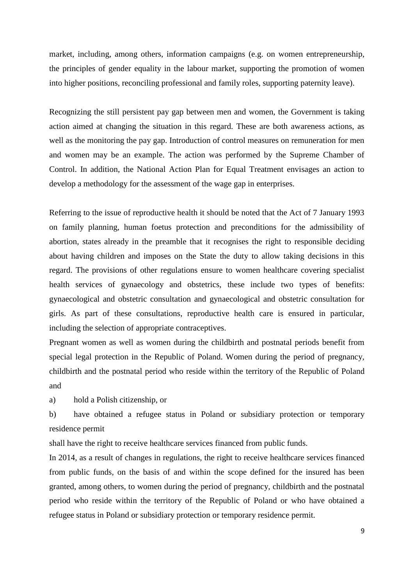market, including, among others, information campaigns (e.g. on women entrepreneurship, the principles of gender equality in the labour market, supporting the promotion of women into higher positions, reconciling professional and family roles, supporting paternity leave).

Recognizing the still persistent pay gap between men and women, the Government is taking action aimed at changing the situation in this regard. These are both awareness actions, as well as the monitoring the pay gap. Introduction of control measures on remuneration for men and women may be an example. The action was performed by the Supreme Chamber of Control. In addition, the National Action Plan for Equal Treatment envisages an action to develop a methodology for the assessment of the wage gap in enterprises.

Referring to the issue of reproductive health it should be noted that the Act of 7 January 1993 on family planning, human foetus protection and preconditions for the admissibility of abortion, states already in the preamble that it recognises the right to responsible deciding about having children and imposes on the State the duty to allow taking decisions in this regard. The provisions of other regulations ensure to women healthcare covering specialist health services of gynaecology and obstetrics, these include two types of benefits: gynaecological and obstetric consultation and gynaecological and obstetric consultation for girls. As part of these consultations, reproductive health care is ensured in particular, including the selection of appropriate contraceptives.

Pregnant women as well as women during the childbirth and postnatal periods benefit from special legal protection in the Republic of Poland. Women during the period of pregnancy, childbirth and the postnatal period who reside within the territory of the Republic of Poland and

a) hold a Polish citizenship, or

b) have obtained a refugee status in Poland or subsidiary protection or temporary residence permit

shall have the right to receive healthcare services financed from public funds.

In 2014, as a result of changes in regulations, the right to receive healthcare services financed from public funds, on the basis of and within the scope defined for the insured has been granted, among others, to women during the period of pregnancy, childbirth and the postnatal period who reside within the territory of the Republic of Poland or who have obtained a refugee status in Poland or subsidiary protection or temporary residence permit.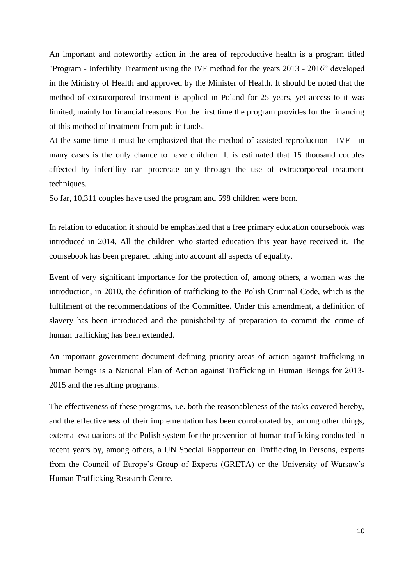An important and noteworthy action in the area of reproductive health is a program titled "Program - Infertility Treatment using the IVF method for the years 2013 - 2016" developed in the Ministry of Health and approved by the Minister of Health. It should be noted that the method of extracorporeal treatment is applied in Poland for 25 years, yet access to it was limited, mainly for financial reasons. For the first time the program provides for the financing of this method of treatment from public funds.

At the same time it must be emphasized that the method of assisted reproduction - IVF - in many cases is the only chance to have children. It is estimated that 15 thousand couples affected by infertility can procreate only through the use of extracorporeal treatment techniques.

So far, 10,311 couples have used the program and 598 children were born.

In relation to education it should be emphasized that a free primary education coursebook was introduced in 2014. All the children who started education this year have received it. The coursebook has been prepared taking into account all aspects of equality.

Event of very significant importance for the protection of, among others, a woman was the introduction, in 2010, the definition of trafficking to the Polish Criminal Code, which is the fulfilment of the recommendations of the Committee. Under this amendment, a definition of slavery has been introduced and the punishability of preparation to commit the crime of human trafficking has been extended.

An important government document defining priority areas of action against trafficking in human beings is a National Plan of Action against Trafficking in Human Beings for 2013- 2015 and the resulting programs.

The effectiveness of these programs, i.e. both the reasonableness of the tasks covered hereby, and the effectiveness of their implementation has been corroborated by, among other things, external evaluations of the Polish system for the prevention of human trafficking conducted in recent years by, among others, a UN Special Rapporteur on Trafficking in Persons, experts from the Council of Europe's Group of Experts (GRETA) or the University of Warsaw's Human Trafficking Research Centre.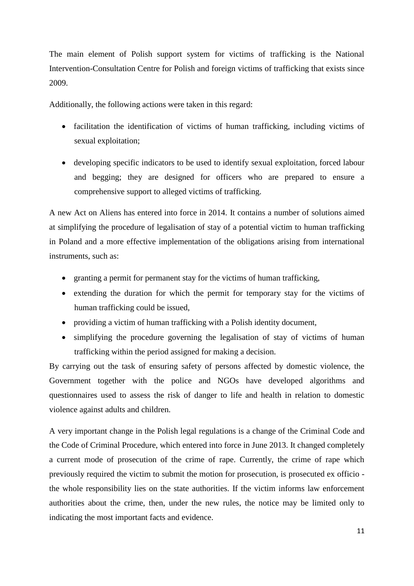The main element of Polish support system for victims of trafficking is the National Intervention-Consultation Centre for Polish and foreign victims of trafficking that exists since 2009.

Additionally, the following actions were taken in this regard:

- facilitation the identification of victims of human trafficking, including victims of sexual exploitation;
- developing specific indicators to be used to identify sexual exploitation, forced labour and begging; they are designed for officers who are prepared to ensure a comprehensive support to alleged victims of trafficking.

A new Act on Aliens has entered into force in 2014. It contains a number of solutions aimed at simplifying the procedure of legalisation of stay of a potential victim to human trafficking in Poland and a more effective implementation of the obligations arising from international instruments, such as:

- granting a permit for permanent stay for the victims of human trafficking,
- extending the duration for which the permit for temporary stay for the victims of human trafficking could be issued,
- providing a victim of human trafficking with a Polish identity document,
- simplifying the procedure governing the legalisation of stay of victims of human trafficking within the period assigned for making a decision.

By carrying out the task of ensuring safety of persons affected by domestic violence, the Government together with the police and NGOs have developed algorithms and questionnaires used to assess the risk of danger to life and health in relation to domestic violence against adults and children.

A very important change in the Polish legal regulations is a change of the Criminal Code and the Code of Criminal Procedure, which entered into force in June 2013. It changed completely a current mode of prosecution of the crime of rape. Currently, the crime of rape which previously required the victim to submit the motion for prosecution, is prosecuted ex officio the whole responsibility lies on the state authorities. If the victim informs law enforcement authorities about the crime, then, under the new rules, the notice may be limited only to indicating the most important facts and evidence.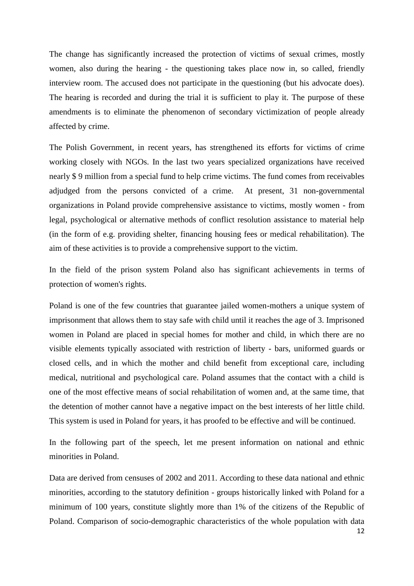The change has significantly increased the protection of victims of sexual crimes, mostly women, also during the hearing - the questioning takes place now in, so called, friendly interview room. The accused does not participate in the questioning (but his advocate does). The hearing is recorded and during the trial it is sufficient to play it. The purpose of these amendments is to eliminate the phenomenon of secondary victimization of people already affected by crime.

The Polish Government, in recent years, has strengthened its efforts for victims of crime working closely with NGOs. In the last two years specialized organizations have received nearly \$ 9 million from a special fund to help crime victims. The fund comes from receivables adjudged from the persons convicted of a crime. At present, 31 non-governmental organizations in Poland provide comprehensive assistance to victims, mostly women - from legal, psychological or alternative methods of conflict resolution assistance to material help (in the form of e.g. providing shelter, financing housing fees or medical rehabilitation). The aim of these activities is to provide a comprehensive support to the victim.

In the field of the prison system Poland also has significant achievements in terms of protection of women's rights.

Poland is one of the few countries that guarantee jailed women-mothers a unique system of imprisonment that allows them to stay safe with child until it reaches the age of 3. Imprisoned women in Poland are placed in special homes for mother and child, in which there are no visible elements typically associated with restriction of liberty - bars, uniformed guards or closed cells, and in which the mother and child benefit from exceptional care, including medical, nutritional and psychological care. Poland assumes that the contact with a child is one of the most effective means of social rehabilitation of women and, at the same time, that the detention of mother cannot have a negative impact on the best interests of her little child. This system is used in Poland for years, it has proofed to be effective and will be continued.

In the following part of the speech, let me present information on national and ethnic minorities in Poland.

Data are derived from censuses of 2002 and 2011. According to these data national and ethnic minorities, according to the statutory definition - groups historically linked with Poland for a minimum of 100 years, constitute slightly more than 1% of the citizens of the Republic of Poland. Comparison of socio-demographic characteristics of the whole population with data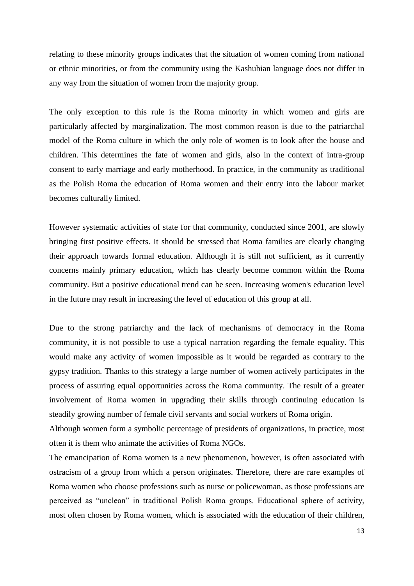relating to these minority groups indicates that the situation of women coming from national or ethnic minorities, or from the community using the Kashubian language does not differ in any way from the situation of women from the majority group.

The only exception to this rule is the Roma minority in which women and girls are particularly affected by marginalization. The most common reason is due to the patriarchal model of the Roma culture in which the only role of women is to look after the house and children. This determines the fate of women and girls, also in the context of intra-group consent to early marriage and early motherhood. In practice, in the community as traditional as the Polish Roma the education of Roma women and their entry into the labour market becomes culturally limited.

However systematic activities of state for that community, conducted since 2001, are slowly bringing first positive effects. It should be stressed that Roma families are clearly changing their approach towards formal education. Although it is still not sufficient, as it currently concerns mainly primary education, which has clearly become common within the Roma community. But a positive educational trend can be seen. Increasing women's education level in the future may result in increasing the level of education of this group at all.

Due to the strong patriarchy and the lack of mechanisms of democracy in the Roma community, it is not possible to use a typical narration regarding the female equality. This would make any activity of women impossible as it would be regarded as contrary to the gypsy tradition. Thanks to this strategy a large number of women actively participates in the process of assuring equal opportunities across the Roma community. The result of a greater involvement of Roma women in upgrading their skills through continuing education is steadily growing number of female civil servants and social workers of Roma origin.

Although women form a symbolic percentage of presidents of organizations, in practice, most often it is them who animate the activities of Roma NGOs.

The emancipation of Roma women is a new phenomenon, however, is often associated with ostracism of a group from which a person originates. Therefore, there are rare examples of Roma women who choose professions such as nurse or policewoman, as those professions are perceived as "unclean" in traditional Polish Roma groups. Educational sphere of activity, most often chosen by Roma women, which is associated with the education of their children,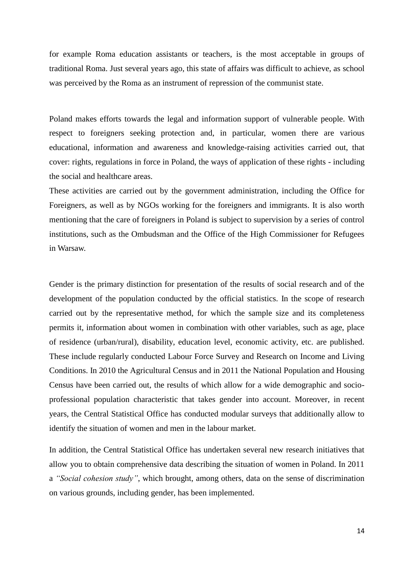for example Roma education assistants or teachers, is the most acceptable in groups of traditional Roma. Just several years ago, this state of affairs was difficult to achieve, as school was perceived by the Roma as an instrument of repression of the communist state.

Poland makes efforts towards the legal and information support of vulnerable people. With respect to foreigners seeking protection and, in particular, women there are various educational, information and awareness and knowledge-raising activities carried out, that cover: rights, regulations in force in Poland, the ways of application of these rights - including the social and healthcare areas.

These activities are carried out by the government administration, including the Office for Foreigners, as well as by NGOs working for the foreigners and immigrants. It is also worth mentioning that the care of foreigners in Poland is subject to supervision by a series of control institutions, such as the Ombudsman and the Office of the High Commissioner for Refugees in Warsaw.

Gender is the primary distinction for presentation of the results of social research and of the development of the population conducted by the official statistics. In the scope of research carried out by the representative method, for which the sample size and its completeness permits it, information about women in combination with other variables, such as age, place of residence (urban/rural), disability, education level, economic activity, etc. are published. These include regularly conducted Labour Force Survey and Research on Income and Living Conditions. In 2010 the Agricultural Census and in 2011 the National Population and Housing Census have been carried out, the results of which allow for a wide demographic and socioprofessional population characteristic that takes gender into account. Moreover, in recent years, the Central Statistical Office has conducted modular surveys that additionally allow to identify the situation of women and men in the labour market.

In addition, the Central Statistical Office has undertaken several new research initiatives that allow you to obtain comprehensive data describing the situation of women in Poland. In 2011 a *"Social cohesion study"*, which brought, among others, data on the sense of discrimination on various grounds, including gender, has been implemented.